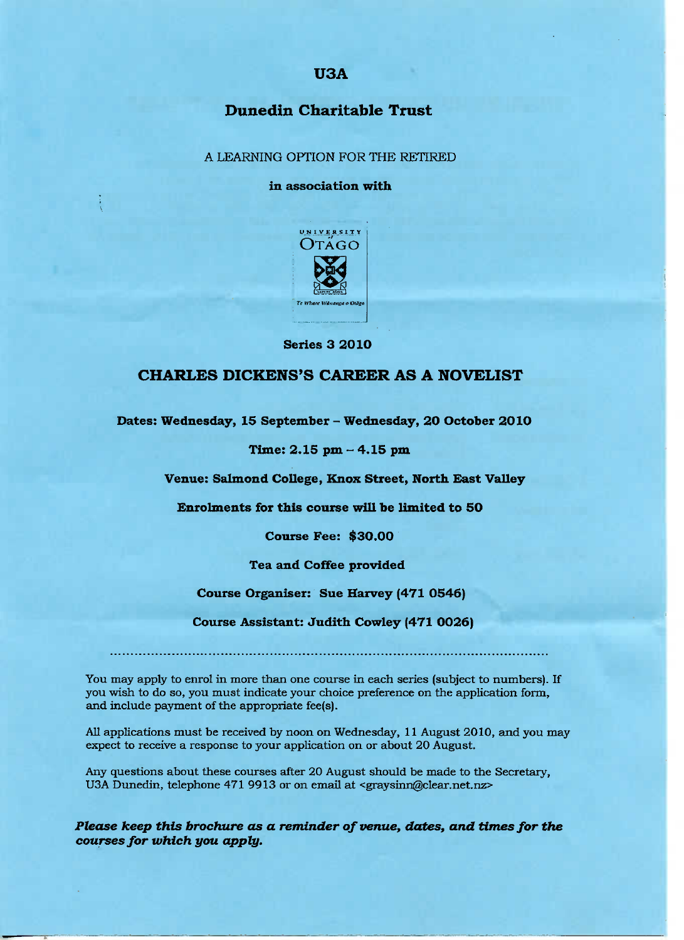# USA

# Dunedin **Charitable Trust**

A LEARNING OPTION FOR THE RETIRED

#### **in association with**



**Series 3 2O10**

## **CHARLES DICKENS'S CAREER AS A NOVELIST**

**Dates: Wednesday, 15 September - Wednesday, 20 October 201O**

### **Time: 2.15 pm** *-* **4.15 pm**

**Venue: Salmond College, Knox Street, North East Valley**

**Enrolments for this course will be limited to 50**

**Course Fee: \$30.00**

**Tea and Coffee provided**

### **Course Organiser: Sue Harvey (471 0546)**

**Course Assistant: Judith Cowley (471 0026)**

You may apply to enrol in more than one course in each series (subject to numbers). If you wish to do so, you must indicate your choice preference on the application form, and include payment of the appropriate fee(s).

All applications must be received by noon on Wednesday, 11 August 2010, and you may expect to receive a response to your application on or about 20 August.

Any questions about these courses after 20 August should be made to the Secretary, U3A Dunedin, telephone 471 9913 or on email at <graysinn@clear.net.nz>

*Please keep this brochure as a reminder of venue, dates, and times for the courses for which you apply.*